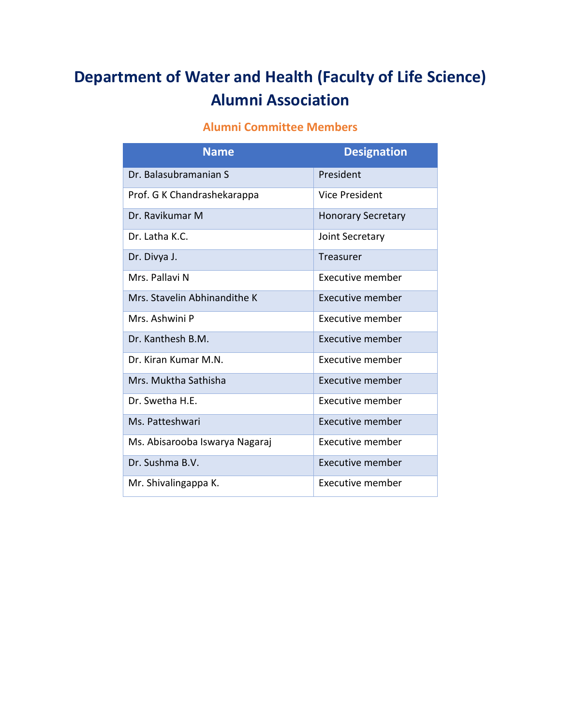## **Department of Water and Health (Faculty of Life Science) Alumni Association**

## **Alumni Committee Members**

| <b>Name</b>                    | <b>Designation</b>        |
|--------------------------------|---------------------------|
| Dr. Balasubramanian S          | President                 |
| Prof. G K Chandrashekarappa    | Vice President            |
| Dr. Ravikumar M                | <b>Honorary Secretary</b> |
| $Dr.$ Latha K.C.               | Joint Secretary           |
| Dr. Divya J.                   | Treasurer                 |
| Mrs. Pallavi N                 | Executive member          |
| Mrs. Stavelin Abhinandithe K   | Executive member          |
| Mrs. Ashwini P                 | Executive member          |
| Dr. Kanthesh B.M.              | Executive member          |
| Dr. Kiran Kumar M.N.           | Executive member          |
| Mrs. Muktha Sathisha           | Executive member          |
| Dr. Swetha H.E.                | Executive member          |
| Ms. Patteshwari                | Executive member          |
| Ms. Abisarooba Iswarya Nagaraj | Executive member          |
| Dr. Sushma B.V.                | Executive member          |
| Mr. Shivalingappa K.           | Executive member          |